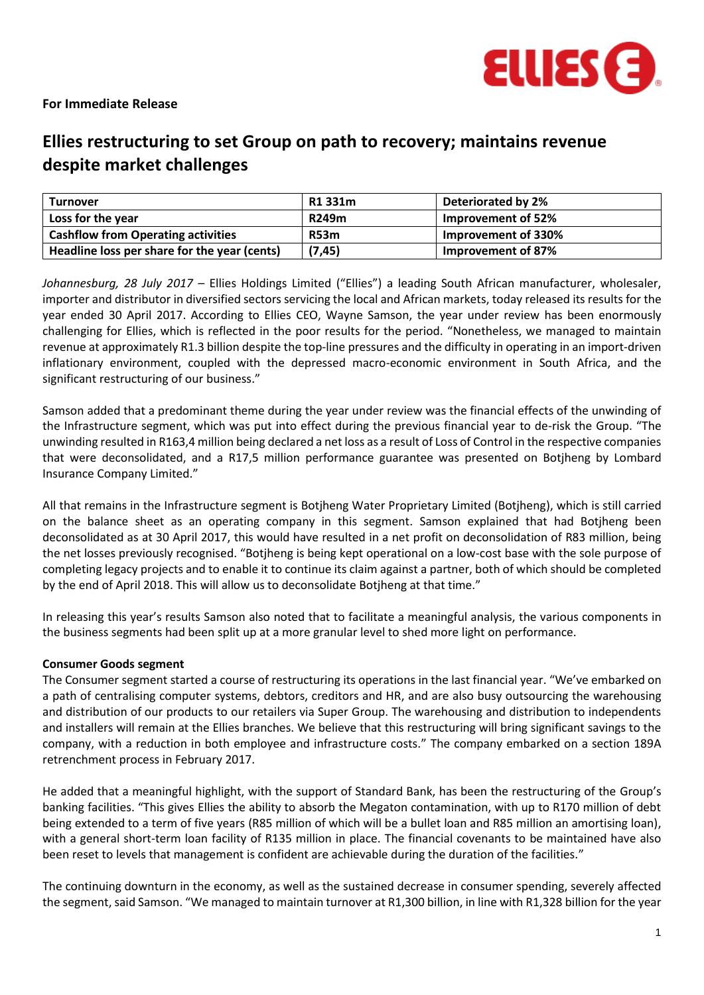

## **For Immediate Release**

# **Ellies restructuring to set Group on path to recovery; maintains revenue despite market challenges**

| <b>Turnover</b>                              | R1 331m     | Deteriorated by 2%  |
|----------------------------------------------|-------------|---------------------|
| Loss for the year                            | R249m       | Improvement of 52%  |
| <b>Cashflow from Operating activities</b>    | <b>R53m</b> | Improvement of 330% |
| Headline loss per share for the year (cents) | (7, 45)     | Improvement of 87%  |

*Johannesburg, 28 July 2017 –* Ellies Holdings Limited ("Ellies") a leading South African manufacturer, wholesaler, importer and distributor in diversified sectors servicing the local and African markets, today released its results for the year ended 30 April 2017. According to Ellies CEO, Wayne Samson, the year under review has been enormously challenging for Ellies, which is reflected in the poor results for the period. "Nonetheless, we managed to maintain revenue at approximately R1.3 billion despite the top-line pressures and the difficulty in operating in an import-driven inflationary environment, coupled with the depressed macro-economic environment in South Africa, and the significant restructuring of our business."

Samson added that a predominant theme during the year under review was the financial effects of the unwinding of the Infrastructure segment, which was put into effect during the previous financial year to de-risk the Group. "The unwinding resulted in R163,4 million being declared a net loss as a result of Loss of Control in the respective companies that were deconsolidated, and a R17,5 million performance guarantee was presented on Botjheng by Lombard Insurance Company Limited."

All that remains in the Infrastructure segment is Botjheng Water Proprietary Limited (Botjheng), which is still carried on the balance sheet as an operating company in this segment. Samson explained that had Botjheng been deconsolidated as at 30 April 2017, this would have resulted in a net profit on deconsolidation of R83 million, being the net losses previously recognised. "Botjheng is being kept operational on a low-cost base with the sole purpose of completing legacy projects and to enable it to continue its claim against a partner, both of which should be completed by the end of April 2018. This will allow us to deconsolidate Botjheng at that time."

In releasing this year's results Samson also noted that to facilitate a meaningful analysis, the various components in the business segments had been split up at a more granular level to shed more light on performance.

## **Consumer Goods segment**

The Consumer segment started a course of restructuring its operations in the last financial year. "We've embarked on a path of centralising computer systems, debtors, creditors and HR, and are also busy outsourcing the warehousing and distribution of our products to our retailers via Super Group. The warehousing and distribution to independents and installers will remain at the Ellies branches. We believe that this restructuring will bring significant savings to the company, with a reduction in both employee and infrastructure costs." The company embarked on a section 189A retrenchment process in February 2017.

He added that a meaningful highlight, with the support of Standard Bank, has been the restructuring of the Group's banking facilities. "This gives Ellies the ability to absorb the Megaton contamination, with up to R170 million of debt being extended to a term of five years (R85 million of which will be a bullet loan and R85 million an amortising loan), with a general short-term loan facility of R135 million in place. The financial covenants to be maintained have also been reset to levels that management is confident are achievable during the duration of the facilities."

The continuing downturn in the economy, as well as the sustained decrease in consumer spending, severely affected the segment, said Samson. "We managed to maintain turnover at R1,300 billion, in line with R1,328 billion for the year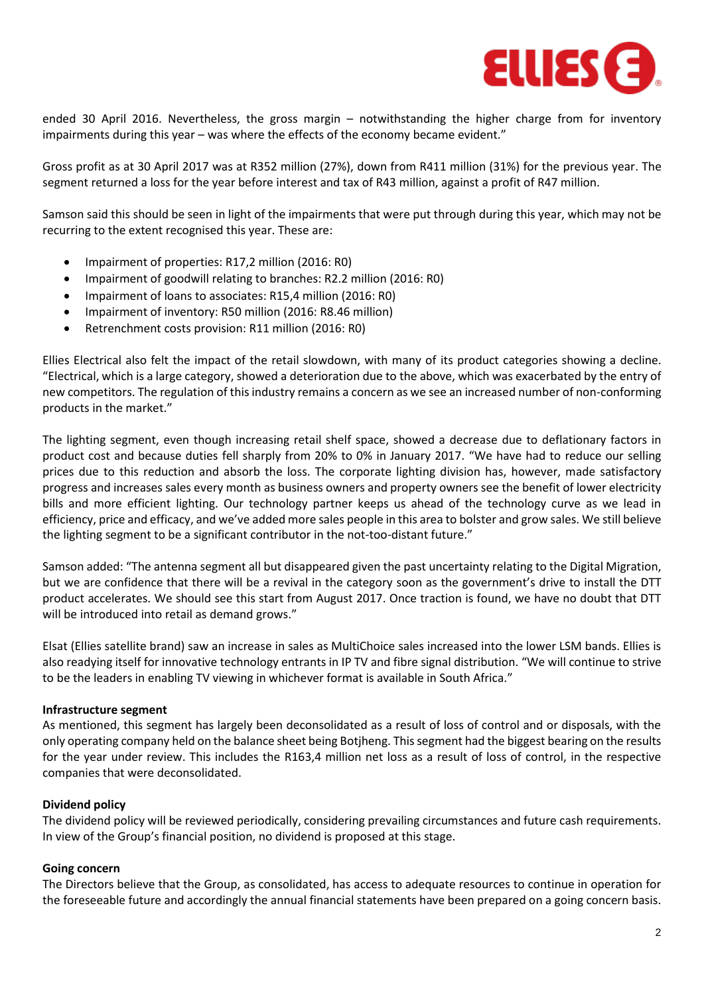

ended 30 April 2016. Nevertheless, the gross margin – notwithstanding the higher charge from for inventory impairments during this year – was where the effects of the economy became evident."

Gross profit as at 30 April 2017 was at R352 million (27%), down from R411 million (31%) for the previous year. The segment returned a loss for the year before interest and tax of R43 million, against a profit of R47 million.

Samson said this should be seen in light of the impairments that were put through during this year, which may not be recurring to the extent recognised this year. These are:

- Impairment of properties: R17,2 million (2016: R0)
- Impairment of goodwill relating to branches: R2.2 million (2016: R0)
- Impairment of loans to associates: R15,4 million (2016: R0)
- Impairment of inventory: R50 million (2016: R8.46 million)
- Retrenchment costs provision: R11 million (2016: R0)

Ellies Electrical also felt the impact of the retail slowdown, with many of its product categories showing a decline. "Electrical, which is a large category, showed a deterioration due to the above, which was exacerbated by the entry of new competitors. The regulation of this industry remains a concern as we see an increased number of non-conforming products in the market."

The lighting segment, even though increasing retail shelf space, showed a decrease due to deflationary factors in product cost and because duties fell sharply from 20% to 0% in January 2017. "We have had to reduce our selling prices due to this reduction and absorb the loss. The corporate lighting division has, however, made satisfactory progress and increases sales every month as business owners and property owners see the benefit of lower electricity bills and more efficient lighting. Our technology partner keeps us ahead of the technology curve as we lead in efficiency, price and efficacy, and we've added more sales people in this area to bolster and grow sales. We still believe the lighting segment to be a significant contributor in the not-too-distant future."

Samson added: "The antenna segment all but disappeared given the past uncertainty relating to the Digital Migration, but we are confidence that there will be a revival in the category soon as the government's drive to install the DTT product accelerates. We should see this start from August 2017. Once traction is found, we have no doubt that DTT will be introduced into retail as demand grows."

Elsat (Ellies satellite brand) saw an increase in sales as MultiChoice sales increased into the lower LSM bands. Ellies is also readying itself for innovative technology entrants in IP TV and fibre signal distribution. "We will continue to strive to be the leaders in enabling TV viewing in whichever format is available in South Africa."

#### **Infrastructure segment**

As mentioned, this segment has largely been deconsolidated as a result of loss of control and or disposals, with the only operating company held on the balance sheet being Botjheng. This segment had the biggest bearing on the results for the year under review. This includes the R163,4 million net loss as a result of loss of control, in the respective companies that were deconsolidated.

## **Dividend policy**

The dividend policy will be reviewed periodically, considering prevailing circumstances and future cash requirements. In view of the Group's financial position, no dividend is proposed at this stage.

## **Going concern**

The Directors believe that the Group, as consolidated, has access to adequate resources to continue in operation for the foreseeable future and accordingly the annual financial statements have been prepared on a going concern basis.